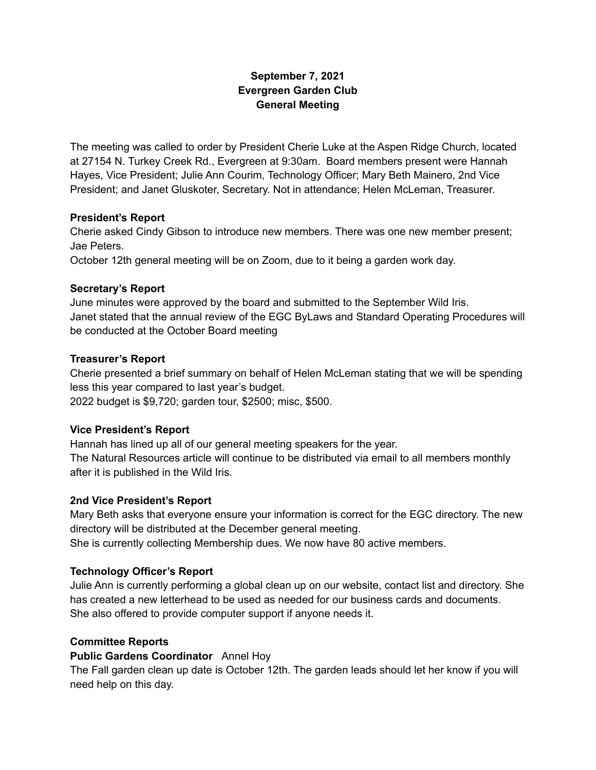# **September 7, 2021 Evergreen Garden Club General Meeting**

The meeting was called to order by President Cherie Luke at the Aspen Ridge Church, located at 27154 N. Turkey Creek Rd., Evergreen at 9:30am. Board members present were Hannah Hayes, Vice President; Julie Ann Courim, Technology Officer; Mary Beth Mainero, 2nd Vice President; and Janet Gluskoter, Secretary. Not in attendance; Helen McLeman, Treasurer.

### **President's Report**

Cherie asked Cindy Gibson to introduce new members. There was one new member present; Jae Peters.

October 12th general meeting will be on Zoom, due to it being a garden work day.

## **Secretary's Report**

June minutes were approved by the board and submitted to the September Wild Iris. Janet stated that the annual review of the EGC ByLaws and Standard Operating Procedures will be conducted at the October Board meeting

## **Treasurer's Report**

Cherie presented a brief summary on behalf of Helen McLeman stating that we will be spending less this year compared to last year's budget. 2022 budget is \$9,720; garden tour, \$2500; misc, \$500.

## **Vice President's Report**

Hannah has lined up all of our general meeting speakers for the year. The Natural Resources article will continue to be distributed via email to all members monthly after it is published in the Wild Iris.

## **2nd Vice President's Report**

Mary Beth asks that everyone ensure your information is correct for the EGC directory. The new directory will be distributed at the December general meeting. She is currently collecting Membership dues. We now have 80 active members.

## **Technology Officer's Report**

Julie Ann is currently performing a global clean up on our website, contact list and directory. She has created a new letterhead to be used as needed for our business cards and documents. She also offered to provide computer support if anyone needs it.

### **Committee Reports**

### **Public Gardens Coordinator** Annel Hoy

The Fall garden clean up date is October 12th. The garden leads should let her know if you will need help on this day.